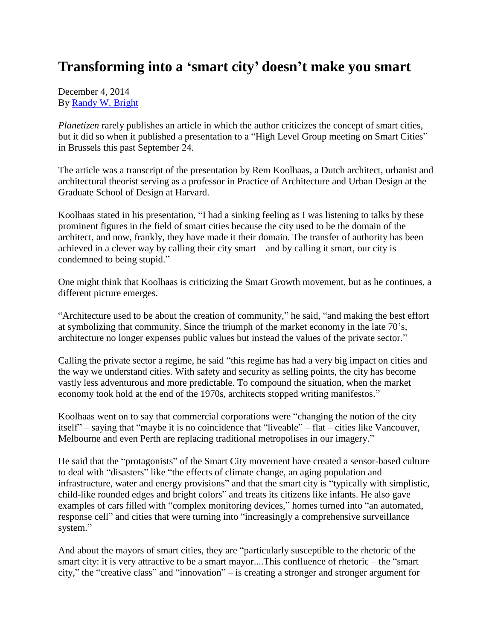## **Transforming into a 'smart city' doesn't make you smart**

December 4, 2014 By [Randy W. Bright](http://www.tulsabeacon.com/author/slug-o6yd1v)

*Planetizen* rarely publishes an article in which the author criticizes the concept of smart cities, but it did so when it published a presentation to a "High Level Group meeting on Smart Cities" in Brussels this past September 24.

The article was a transcript of the presentation by Rem Koolhaas, a Dutch architect, urbanist and architectural theorist serving as a professor in Practice of Architecture and Urban Design at the Graduate School of Design at Harvard.

Koolhaas stated in his presentation, "I had a sinking feeling as I was listening to talks by these prominent figures in the field of smart cities because the city used to be the domain of the architect, and now, frankly, they have made it their domain. The transfer of authority has been achieved in a clever way by calling their city smart – and by calling it smart, our city is condemned to being stupid."

One might think that Koolhaas is criticizing the Smart Growth movement, but as he continues, a different picture emerges.

"Architecture used to be about the creation of community," he said, "and making the best effort at symbolizing that community. Since the triumph of the market economy in the late 70's, architecture no longer expenses public values but instead the values of the private sector."

Calling the private sector a regime, he said "this regime has had a very big impact on cities and the way we understand cities. With safety and security as selling points, the city has become vastly less adventurous and more predictable. To compound the situation, when the market economy took hold at the end of the 1970s, architects stopped writing manifestos."

Koolhaas went on to say that commercial corporations were "changing the notion of the city itself" – saying that "maybe it is no coincidence that "liveable" – flat – cities like Vancouver, Melbourne and even Perth are replacing traditional metropolises in our imagery."

He said that the "protagonists" of the Smart City movement have created a sensor-based culture to deal with "disasters" like "the effects of climate change, an aging population and infrastructure, water and energy provisions" and that the smart city is "typically with simplistic, child-like rounded edges and bright colors" and treats its citizens like infants. He also gave examples of cars filled with "complex monitoring devices," homes turned into "an automated, response cell" and cities that were turning into "increasingly a comprehensive surveillance system."

And about the mayors of smart cities, they are "particularly susceptible to the rhetoric of the smart city: it is very attractive to be a smart mayor....This confluence of rhetoric – the "smart city," the "creative class" and "innovation" – is creating a stronger and stronger argument for